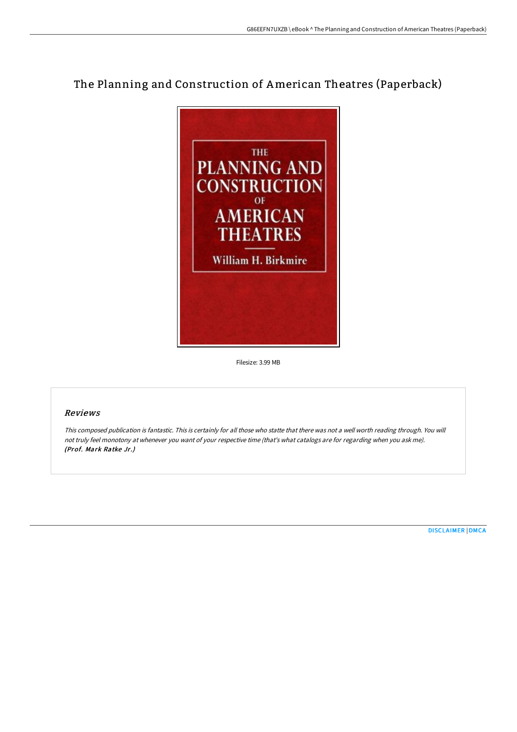# The Planning and Construction of American Theatres (Paperback)



Filesize: 3.99 MB

### Reviews

This composed publication is fantastic. This is certainly for all those who statte that there was not <sup>a</sup> well worth reading through. You will not truly feel monotony at whenever you want of your respective time (that's what catalogs are for regarding when you ask me). (Prof. Mark Ratke Jr.)

[DISCLAIMER](http://albedo.media/disclaimer.html) | [DMCA](http://albedo.media/dmca.html)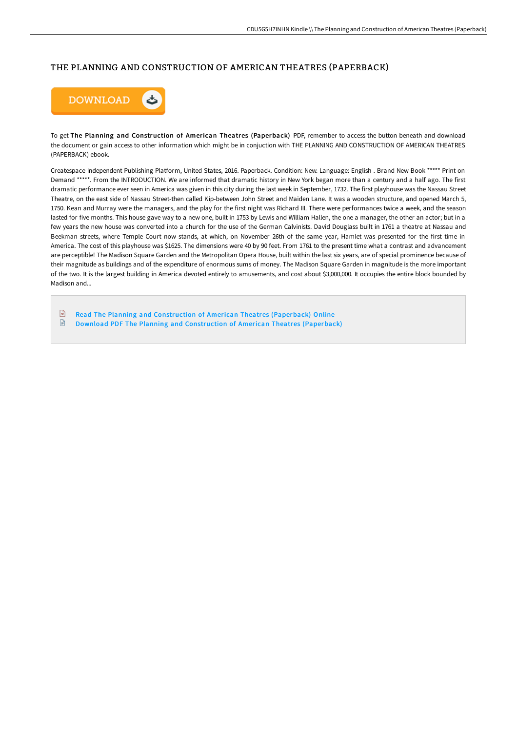## THE PLANNING AND CONSTRUCTION OF AMERICAN THEATRES (PAPERBACK)



To get The Planning and Construction of American Theatres (Paperback) PDF, remember to access the button beneath and download the document or gain access to other information which might be in conjuction with THE PLANNING AND CONSTRUCTION OF AMERICAN THEATRES (PAPERBACK) ebook.

Createspace Independent Publishing Platform, United States, 2016. Paperback. Condition: New. Language: English . Brand New Book \*\*\*\*\* Print on Demand \*\*\*\*\*. From the INTRODUCTION. We are informed that dramatic history in New York began more than a century and a half ago. The first dramatic performance ever seen in America was given in this city during the last week in September, 1732. The first playhouse was the Nassau Street Theatre, on the east side of Nassau Street-then called Kip-between John Street and Maiden Lane. It was a wooden structure, and opened March 5, 1750. Kean and Murray were the managers, and the play for the first night was Richard III. There were performances twice a week, and the season lasted for five months. This house gave way to a new one, built in 1753 by Lewis and William Hallen, the one a manager, the other an actor; but in a few years the new house was converted into a church for the use of the German Calvinists. David Douglass built in 1761 a theatre at Nassau and Beekman streets, where Temple Court now stands, at which, on November 26th of the same year, Hamlet was presented for the first time in America. The cost of this playhouse was \$1625. The dimensions were 40 by 90 feet. From 1761 to the present time what a contrast and advancement are perceptible! The Madison Square Garden and the Metropolitan Opera House, built within the last six years, are of special prominence because of their magnitude as buildings and of the expenditure of enormous sums of money. The Madison Square Garden in magnitude is the more important of the two. It is the largest building in America devoted entirely to amusements, and cost about \$3,000,000. It occupies the entire block bounded by Madison and...

 $\sqrt{1}$ Read The Planning and [Construction](http://albedo.media/the-planning-and-construction-of-american-theatr.html) of American Theatres (Paperback) Online  $\mathbf{F}$ Download PDF The Planning and [Construction](http://albedo.media/the-planning-and-construction-of-american-theatr.html) of American Theatres (Paperback)